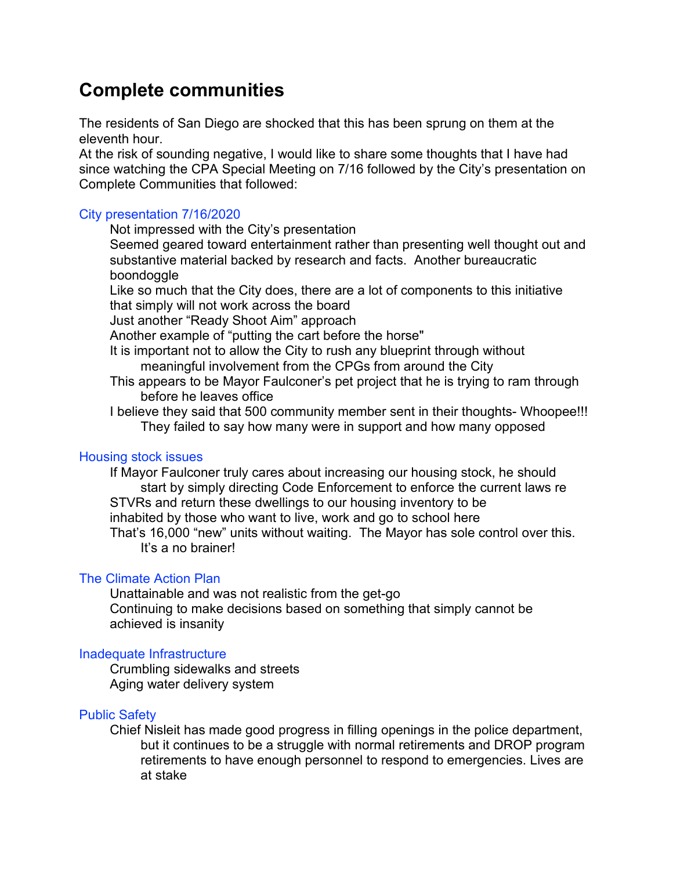# Complete communities

The residents of San Diego are shocked that this has been sprung on them at the eleventh hour.

At the risk of sounding negative, I would like to share some thoughts that I have had since watching the CPA Special Meeting on 7/16 followed by the City's presentation on Complete Communities that followed:

## City presentation 7/16/2020

Not impressed with the City's presentation

 Seemed geared toward entertainment rather than presenting well thought out and substantive material backed by research and facts. Another bureaucratic boondoggle

 Like so much that the City does, there are a lot of components to this initiative that simply will not work across the board

Just another "Ready Shoot Aim" approach

Another example of "putting the cart before the horse"

- It is important not to allow the City to rush any blueprint through without meaningful involvement from the CPGs from around the City
- This appears to be Mayor Faulconer's pet project that he is trying to ram through before he leaves office
- I believe they said that 500 community member sent in their thoughts- Whoopee!!! They failed to say how many were in support and how many opposed

#### Housing stock issues

 If Mayor Faulconer truly cares about increasing our housing stock, he should start by simply directing Code Enforcement to enforce the current laws re STVRs and return these dwellings to our housing inventory to be inhabited by those who want to live, work and go to school here That's 16,000 "new" units without waiting. The Mayor has sole control over this. It's a no brainer!

#### The Climate Action Plan

 Unattainable and was not realistic from the get-go Continuing to make decisions based on something that simply cannot be achieved is insanity

#### Inadequate Infrastructure

 Crumbling sidewalks and streets Aging water delivery system

#### Public Safety

Chief Nisleit has made good progress in filling openings in the police department, but it continues to be a struggle with normal retirements and DROP program retirements to have enough personnel to respond to emergencies. Lives are at stake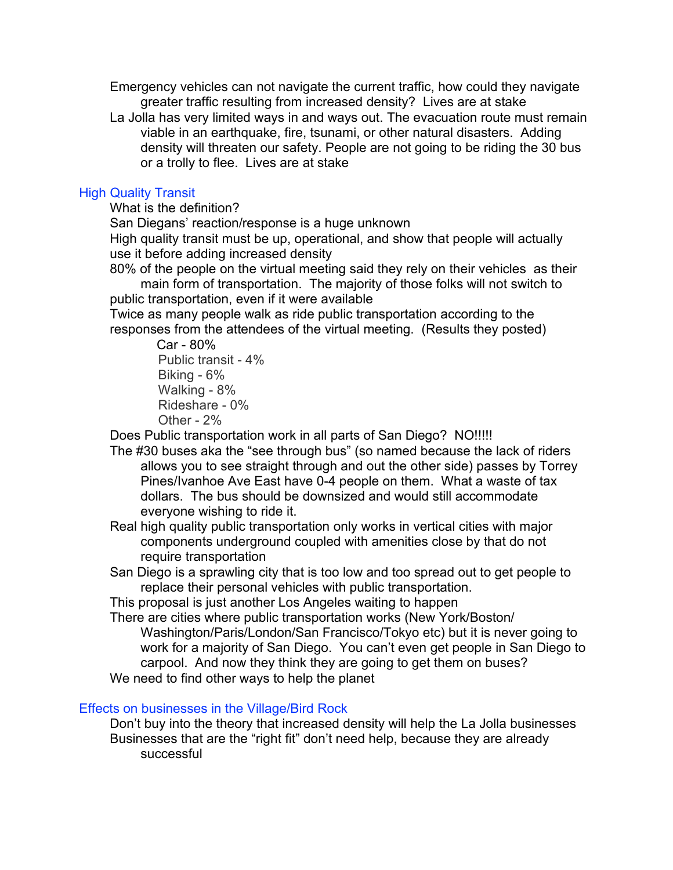Emergency vehicles can not navigate the current traffic, how could they navigate greater traffic resulting from increased density? Lives are at stake

 La Jolla has very limited ways in and ways out. The evacuation route must remain viable in an earthquake, fire, tsunami, or other natural disasters. Adding density will threaten our safety. People are not going to be riding the 30 bus or a trolly to flee. Lives are at stake

# High Quality Transit

What is the definition?

San Diegans' reaction/response is a huge unknown

 High quality transit must be up, operational, and show that people will actually use it before adding increased density

 80% of the people on the virtual meeting said they rely on their vehicles as their main form of transportation. The majority of those folks will not switch to public transportation, even if it were available

 Twice as many people walk as ride public transportation according to the responses from the attendees of the virtual meeting. (Results they posted)

> Car - 80% Public transit - 4% Biking - 6% Walking - 8% Rideshare - 0% Other - 2%

Does Public transportation work in all parts of San Diego? NO!!!!!

- The #30 buses aka the "see through bus" (so named because the lack of riders allows you to see straight through and out the other side) passes by Torrey Pines/Ivanhoe Ave East have 0-4 people on them. What a waste of tax dollars. The bus should be downsized and would still accommodate everyone wishing to ride it.
- Real high quality public transportation only works in vertical cities with major components underground coupled with amenities close by that do not require transportation
- San Diego is a sprawling city that is too low and too spread out to get people to replace their personal vehicles with public transportation.

This proposal is just another Los Angeles waiting to happen

 There are cities where public transportation works (New York/Boston/ Washington/Paris/London/San Francisco/Tokyo etc) but it is never going to work for a majority of San Diego. You can't even get people in San Diego to carpool. And now they think they are going to get them on buses? We need to find other ways to help the planet

## Effects on businesses in the Village/Bird Rock

 Don't buy into the theory that increased density will help the La Jolla businesses Businesses that are the "right fit" don't need help, because they are already successful